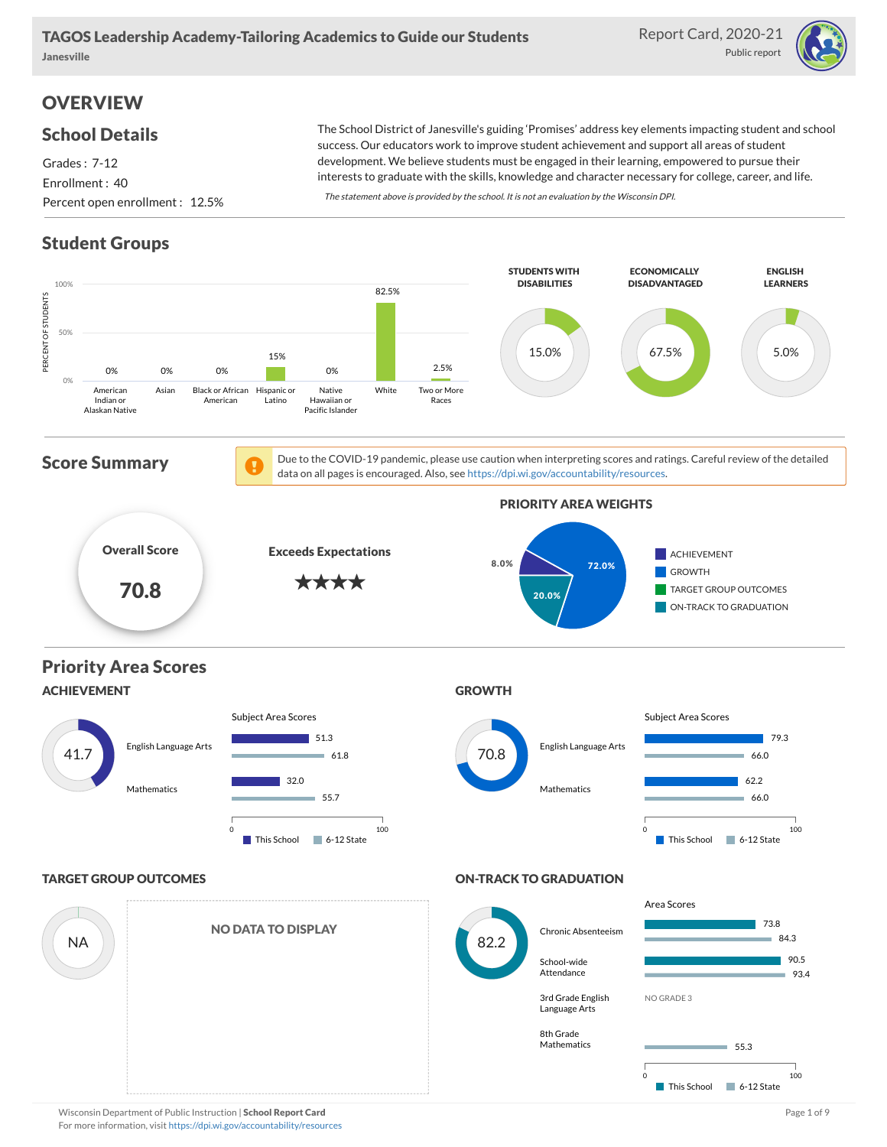Report Card, 2020-21 Public report



# **OVERVIEW**

#### School Details

#### Grades : 7-12 Enrollment : 40 Percent open enrollment : 12.5%

The School District of Janesville's guiding 'Promises' address key elements impacting student and school success. Our educators work to improve student achievement and support all areas of student development. We believe students must be engaged in their learning, empowered to pursue their interests to graduate with the skills, knowledge and character necessary for college, career, and life.

The statement above is provided by the school. It is not an evaluation by the Wisconsin DPI.

## Student Groups

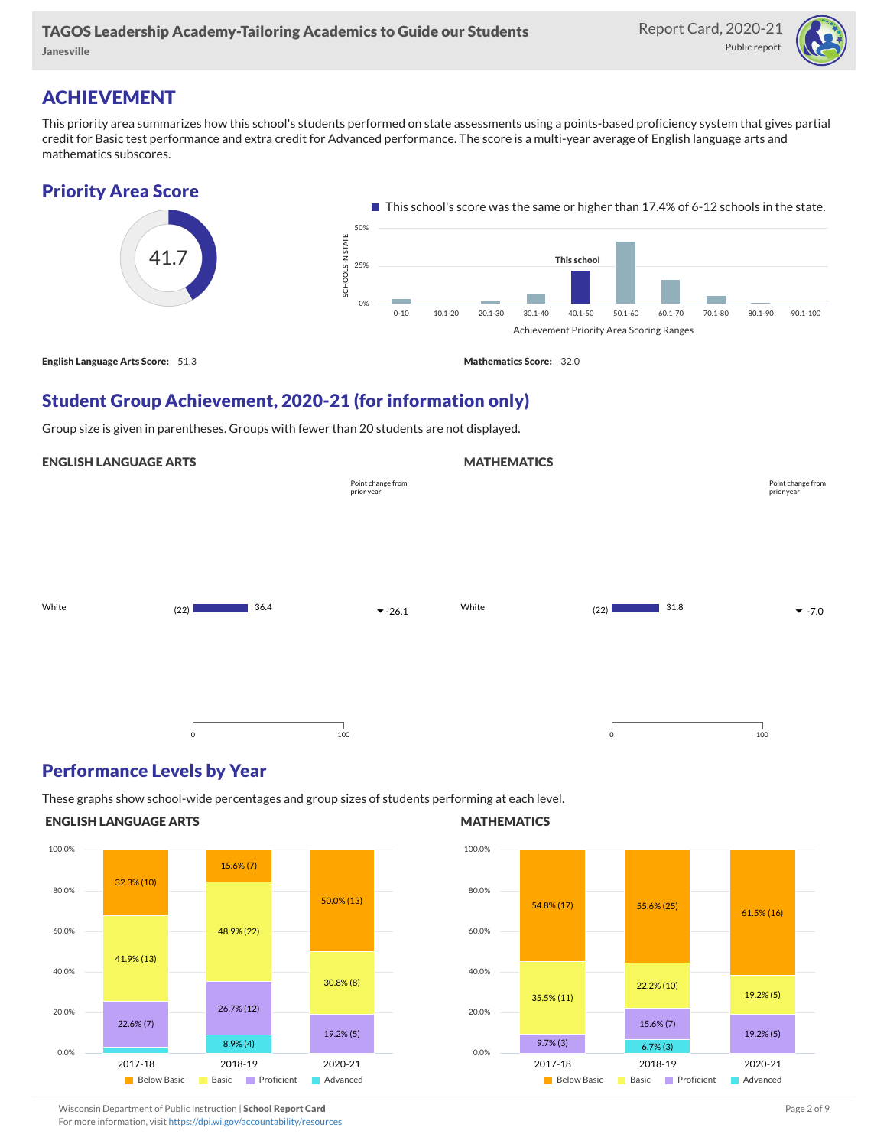

## ACHIEVEMENT

This priority area summarizes how this school's students performed on state assessments using a points-based proficiency system that gives partial credit for Basic test performance and extra credit for Advanced performance. The score is a multi-year average of English language arts and mathematics subscores.



## Student Group Achievement, 2020-21 (for information only)

Group size is given in parentheses. Groups with fewer than 20 students are not displayed.

#### ENGLISH LANGUAGE ARTS

|       |              | Point change from<br>prior year |       |         |      | Point change from<br>prior year |
|-------|--------------|---------------------------------|-------|---------|------|---------------------------------|
|       |              |                                 |       |         |      |                                 |
| White | 36.4<br>(22) | $-26.1$                         | White | (22)    | 31.8 | $-7.0$                          |
|       |              |                                 |       |         |      |                                 |
|       | $\mathsf 0$  | 100                             |       | $\circ$ |      | 100                             |

#### Performance Levels by Year

These graphs show school-wide percentages and group sizes of students performing at each level.

#### ENGLISH LANGUAGE ARTS



#### **MATHEMATICS**

**MATHEMATICS** 



Wisconsin Department of Public Instruction | School Report Card Page 2 of 9 and 2 of 9 and 2 of 9 and 2 of 9 and 2 of 9 and 2 of 9 and 2 of 9 and 2 of 9 and 2 of 9 and 2 of 9 and 2 of 9 and 2 of 9 and 2 of 9 and 2 of 9 and

For more information, visit <https://dpi.wi.gov/accountability/resources>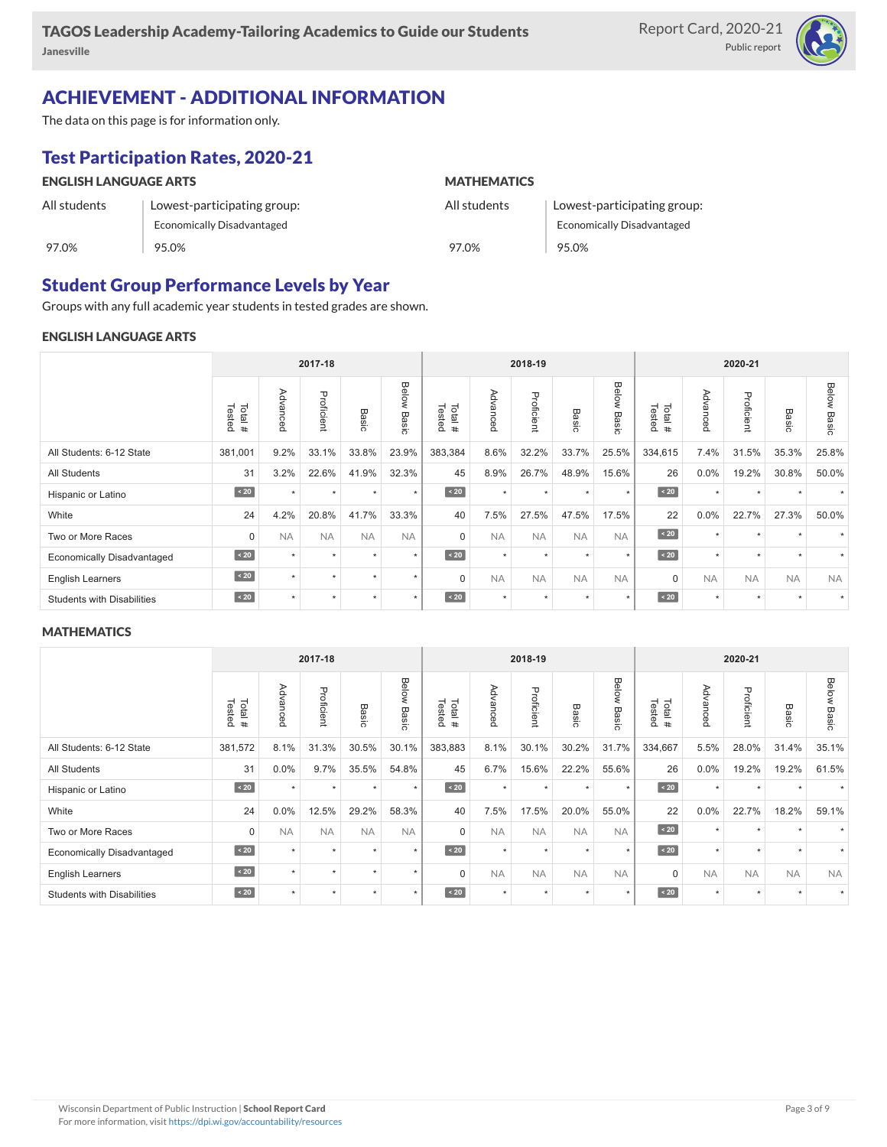

## ACHIEVEMENT - ADDITIONAL INFORMATION

The data on this page is for information only.

## Test Participation Rates, 2020-21

| <b>ENGLISH LANGUAGE ARTS</b> |                                   | <b>MATHEMATICS</b> |                                   |  |  |  |  |
|------------------------------|-----------------------------------|--------------------|-----------------------------------|--|--|--|--|
| All students                 | Lowest-participating group:       | All students       | Lowest-participating group:       |  |  |  |  |
|                              | <b>Economically Disadvantaged</b> |                    | <b>Economically Disadvantaged</b> |  |  |  |  |
| 97.0%                        | 95.0%                             | 97.0%              | 95.0%                             |  |  |  |  |

#### Student Group Performance Levels by Year

Groups with any full academic year students in tested grades are shown.

#### ENGLISH LANGUAGE ARTS

| 2017-18                           |                  |           |            |              |                | 2018-19          |           |            |                      | 2020-21        |                  |                                    |            |                 |                |
|-----------------------------------|------------------|-----------|------------|--------------|----------------|------------------|-----------|------------|----------------------|----------------|------------------|------------------------------------|------------|-----------------|----------------|
|                                   | Tested<br>Total# | Advanced  | Proficient | <b>Basic</b> | Below<br>Basic | Total#<br>Tested | Advanced  | Proficient | Basi<br>$\circ$      | Below<br>Basic | Tested<br>Total# | Adv<br>ance <sub></sub><br>$\circ$ | Proficient | Basi<br>$\circ$ | Below<br>Basic |
| All Students: 6-12 State          | 381,001          | 9.2%      | 33.1%      | 33.8%        | 23.9%          | 383,384          | 8.6%      | 32.2%      | 33.7%                | 25.5%          | 334,615          | 7.4%                               | 31.5%      | 35.3%           | 25.8%          |
| <b>All Students</b>               | 31               | 3.2%      | 22.6%      | 41.9%        | 32.3%          | 45               | 8.9%      | 26.7%      | 48.9%                | 15.6%          | 26               | $0.0\%$                            | 19.2%      | 30.8%           | 50.0%          |
| Hispanic or Latino                | $\angle 20$      | $\star$   | $\star$    | $\ddot{}$    | $\star$        | $\angle 20$      | $\star$   | $\star$    | $\ddot{}$            | $\star$        | $\angle 20$      | $\star$                            | $\star$    |                 |                |
| White                             | 24               | 4.2%      | 20.8%      | 41.7%        | 33.3%          | 40               | 7.5%      | 27.5%      | 47.5%                | 17.5%          | 22               | $0.0\%$                            | 22.7%      | 27.3%           | 50.0%          |
| Two or More Races                 | 0                | <b>NA</b> | <b>NA</b>  | <b>NA</b>    | <b>NA</b>      | $\Omega$         | <b>NA</b> | <b>NA</b>  | <b>NA</b>            | <b>NA</b>      | $\sim 20$        | $\star$                            | $\star$    |                 |                |
| <b>Economically Disadvantaged</b> | $\angle 20$      | $\ddot{}$ | $\star$    | ٠            | $\star$        | $\angle 20$      | $\star$   | $\star$    | $\ddot{\phantom{1}}$ | $\star$        | $\angle 20$      | $\star$                            | $\star$    |                 |                |
| <b>English Learners</b>           | $\sim 20$        | $\ddot{}$ | $\star$    | $\star$      | $\star$        | $\Omega$         | <b>NA</b> | <b>NA</b>  | <b>NA</b>            | <b>NA</b>      | $\mathbf 0$      | <b>NA</b>                          | <b>NA</b>  | <b>NA</b>       | <b>NA</b>      |
| <b>Students with Disabilities</b> | $\sim 20$        | $\ddot{}$ | $\star$    | $\star$      | $\star$        | $\angle 20$      | $\star$   | $\star$    | $\star$              | $\star$        | $\angle 20$      | $\star$                            | $\star$    |                 |                |

#### **MATHEMATICS**

|                                   | 2017-18          |           |            |           | 2018-19        |                         |           |            | 2020-21   |                |                  |           |            |           |                |
|-----------------------------------|------------------|-----------|------------|-----------|----------------|-------------------------|-----------|------------|-----------|----------------|------------------|-----------|------------|-----------|----------------|
|                                   | Tested<br>Total# | Advanced  | Proficient | Basic     | Below<br>Basic | Tested<br>Total#        | Advanced  | Proficient | Basic     | Below<br>Basic | Tested<br>Total# | Advancec  | Proficient | Basic     | Below<br>Basic |
| All Students: 6-12 State          | 381,572          | 8.1%      | 31.3%      | 30.5%     | 30.1%          | 383,883                 | 8.1%      | 30.1%      | 30.2%     | 31.7%          | 334,667          | 5.5%      | 28.0%      | 31.4%     | 35.1%          |
| <b>All Students</b>               | 31               | 0.0%      | 9.7%       | 35.5%     | 54.8%          | 45                      | 6.7%      | 15.6%      | 22.2%     | 55.6%          | 26               | 0.0%      | 19.2%      | 19.2%     | 61.5%          |
| Hispanic or Latino                | $\sim 20$        | $\ddot{}$ | $\star$    | $\star$   | $\star$        | $\overline{\big }$ < 20 | $\star$   | $\star$    |           | $\star$        | $\sim 20$        | $\star$   | $\star$    |           |                |
| White                             | 24               | 0.0%      | 12.5%      | 29.2%     | 58.3%          | 40                      | 7.5%      | 17.5%      | 20.0%     | 55.0%          | 22               | 0.0%      | 22.7%      | 18.2%     | 59.1%          |
| Two or More Races                 | 0                | <b>NA</b> | <b>NA</b>  | <b>NA</b> | <b>NA</b>      | $\Omega$                | <b>NA</b> | <b>NA</b>  | <b>NA</b> | <b>NA</b>      | $\angle 20$      | $\star$   | ٠          |           |                |
| <b>Economically Disadvantaged</b> | $\sim 20$        | $\ddot{}$ | $\star$    | $\ddot{}$ | $\star$        | $\overline{20}$         | $\star$   | $\star$    |           | $\star$        | $\angle 20$      | $\star$   | ٠          |           |                |
| English Learners                  | $\sim 20$        | $\ddot{}$ | ٠          | ٠         | $\star$        | $\Omega$                | <b>NA</b> | <b>NA</b>  | <b>NA</b> | <b>NA</b>      | $\mathbf 0$      | <b>NA</b> | <b>NA</b>  | <b>NA</b> | <b>NA</b>      |
| <b>Students with Disabilities</b> | $\overline{20}$  | $\ddot{}$ | $\star$    | $\star$   | $\star$        | $\angle 20$             | $\star$   | $\star$    | $\ddot{}$ | $\star$        | $\angle 20$      | $\star$   | $\star$    |           |                |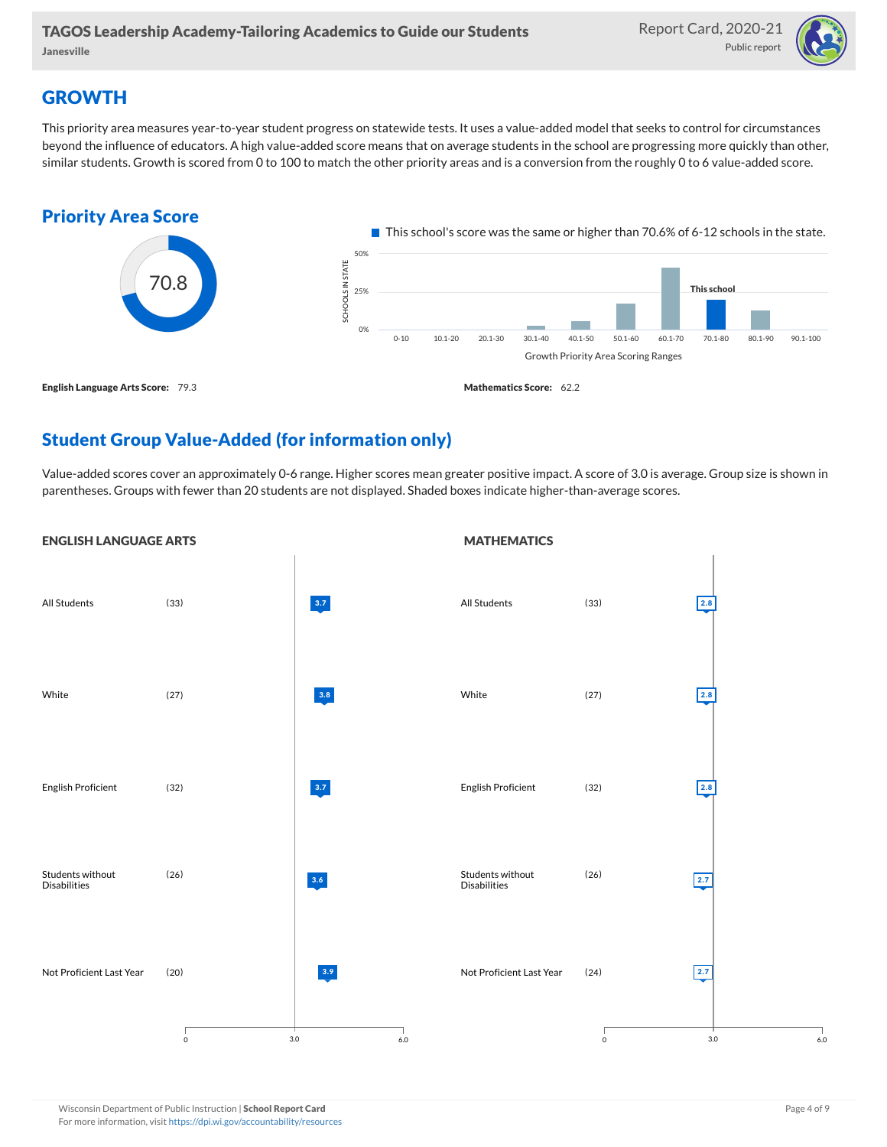

## **GROWTH**

This priority area measures year-to-year student progress on statewide tests. It uses a value-added model that seeks to control for circumstances beyond the influence of educators. A high value-added score means that on average students in the school are progressing more quickly than other, similar students. Growth is scored from 0 to 100 to match the other priority areas and is a conversion from the roughly 0 to 6 value-added score.



## Student Group Value-Added (for information only)

Value-added scores cover an approximately 0-6 range. Higher scores mean greater positive impact. A score of 3.0 is average. Group size is shown in parentheses. Groups with fewer than 20 students are not displayed. Shaded boxes indicate higher-than-average scores.

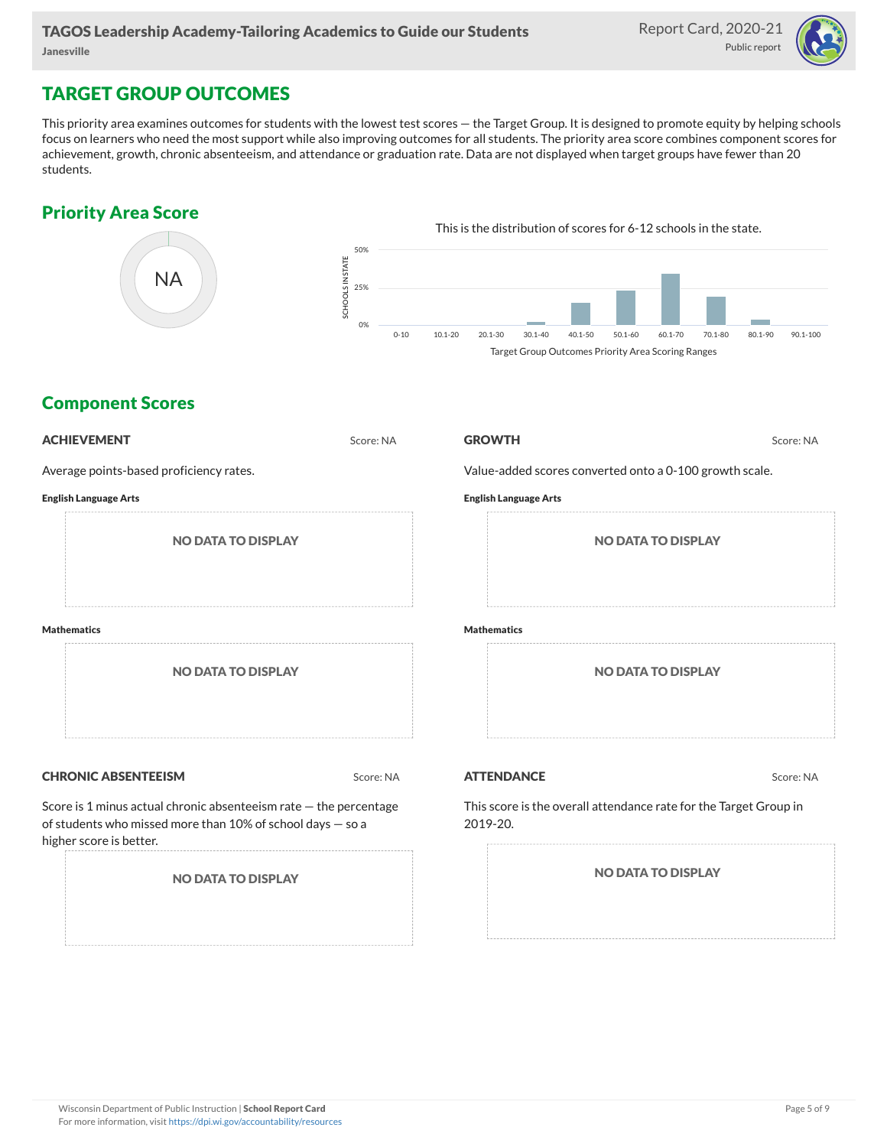

### TARGET GROUP OUTCOMES

This priority area examines outcomes for students with the lowest test scores — the Target Group. It is designed to promote equity by helping schools focus on learners who need the most support while also improving outcomes for all students. The priority area score combines component scores for achievement, growth, chronic absenteeism, and attendance or graduation rate. Data are not displayed when target groups have fewer than 20 students.

### Priority Area Score



### Component Scores

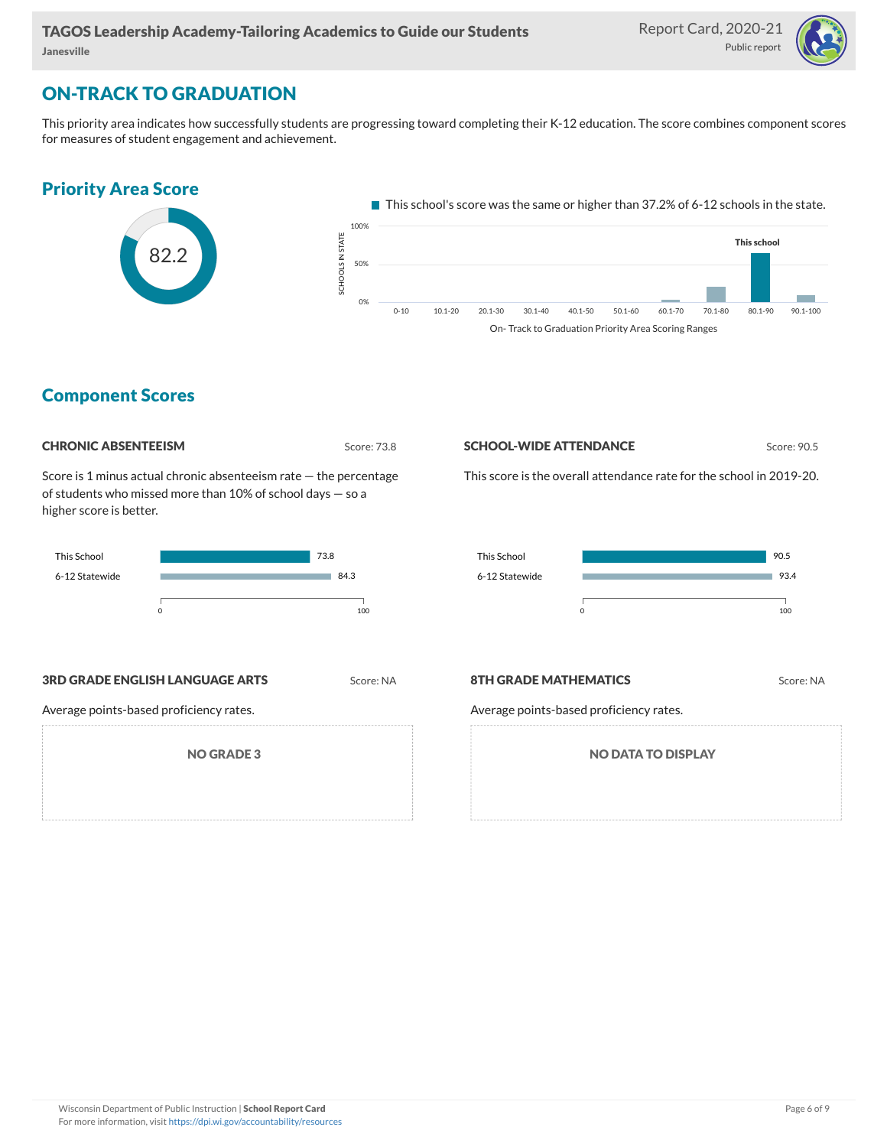

### ON-TRACK TO GRADUATION

This priority area indicates how successfully students are progressing toward completing their K-12 education. The score combines component scores for measures of student engagement and achievement.



#### Component Scores

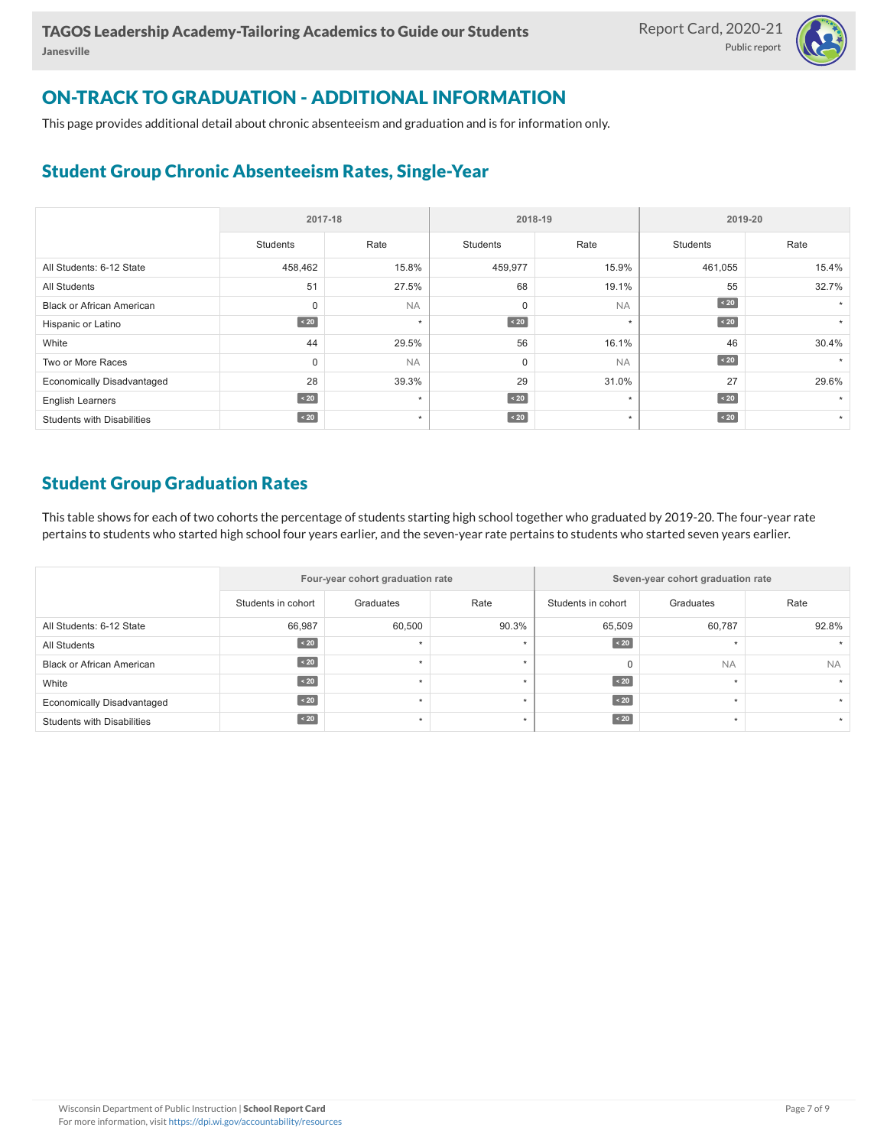

## ON-TRACK TO GRADUATION - ADDITIONAL INFORMATION

This page provides additional detail about chronic absenteeism and graduation and is for information only.

### Student Group Chronic Absenteeism Rates, Single-Year

|                                   | 2017-18     |           | 2018-19         |           | 2019-20         |         |  |
|-----------------------------------|-------------|-----------|-----------------|-----------|-----------------|---------|--|
|                                   | Students    | Rate      | <b>Students</b> | Rate      | <b>Students</b> | Rate    |  |
| All Students: 6-12 State          | 458,462     | 15.8%     | 459,977         | 15.9%     | 461,055         | 15.4%   |  |
| <b>All Students</b>               | 51          | 27.5%     | 68              | 19.1%     | 55              | 32.7%   |  |
| <b>Black or African American</b>  | 0           | <b>NA</b> | $\mathbf 0$     | <b>NA</b> | $\sim 20$       |         |  |
| Hispanic or Latino                | $\sim 20$   | $\star$   | $\sim 20$       | $\star$   | $\sim 20$       |         |  |
| White                             | 44          | 29.5%     | 56              | 16.1%     | 46              | 30.4%   |  |
| Two or More Races                 | $\Omega$    | <b>NA</b> | $\mathbf 0$     | <b>NA</b> | $\sim 20$       |         |  |
| <b>Economically Disadvantaged</b> | 28          | 39.3%     | 29              | 31.0%     | 27              | 29.6%   |  |
| <b>English Learners</b>           | $\sim 20$   | $\star$   | $\angle 20$     | $\star$   | $\angle 20$     |         |  |
| <b>Students with Disabilities</b> | $\angle 20$ | $\star$   | $\sim 20$       | $\star$   | $\leq 20$       | $\star$ |  |

#### Student Group Graduation Rates

This table shows for each of two cohorts the percentage of students starting high school together who graduated by 2019-20. The four-year rate pertains to students who started high school four years earlier, and the seven-year rate pertains to students who started seven years earlier.

|                                   |                    | Four-year cohort graduation rate |       | Seven-year cohort graduation rate |           |           |  |  |  |
|-----------------------------------|--------------------|----------------------------------|-------|-----------------------------------|-----------|-----------|--|--|--|
|                                   | Students in cohort | Graduates                        | Rate  | Students in cohort                | Graduates | Rate      |  |  |  |
| All Students: 6-12 State          | 66,987             | 60,500                           | 90.3% | 65,509                            | 60,787    | 92.8%     |  |  |  |
| All Students                      | $\angle 20$        |                                  |       | $\angle 20$                       |           |           |  |  |  |
| <b>Black or African American</b>  | $\angle 20$        |                                  |       | $\Omega$                          | <b>NA</b> | <b>NA</b> |  |  |  |
| White                             | $\angle 20$        |                                  |       | $\angle 20$                       | $\ddot{}$ |           |  |  |  |
| <b>Economically Disadvantaged</b> | $\angle 20$        |                                  |       | $\angle 20$                       |           |           |  |  |  |
| Students with Disabilities        | $\angle 20$        |                                  |       | $\angle 20$                       |           |           |  |  |  |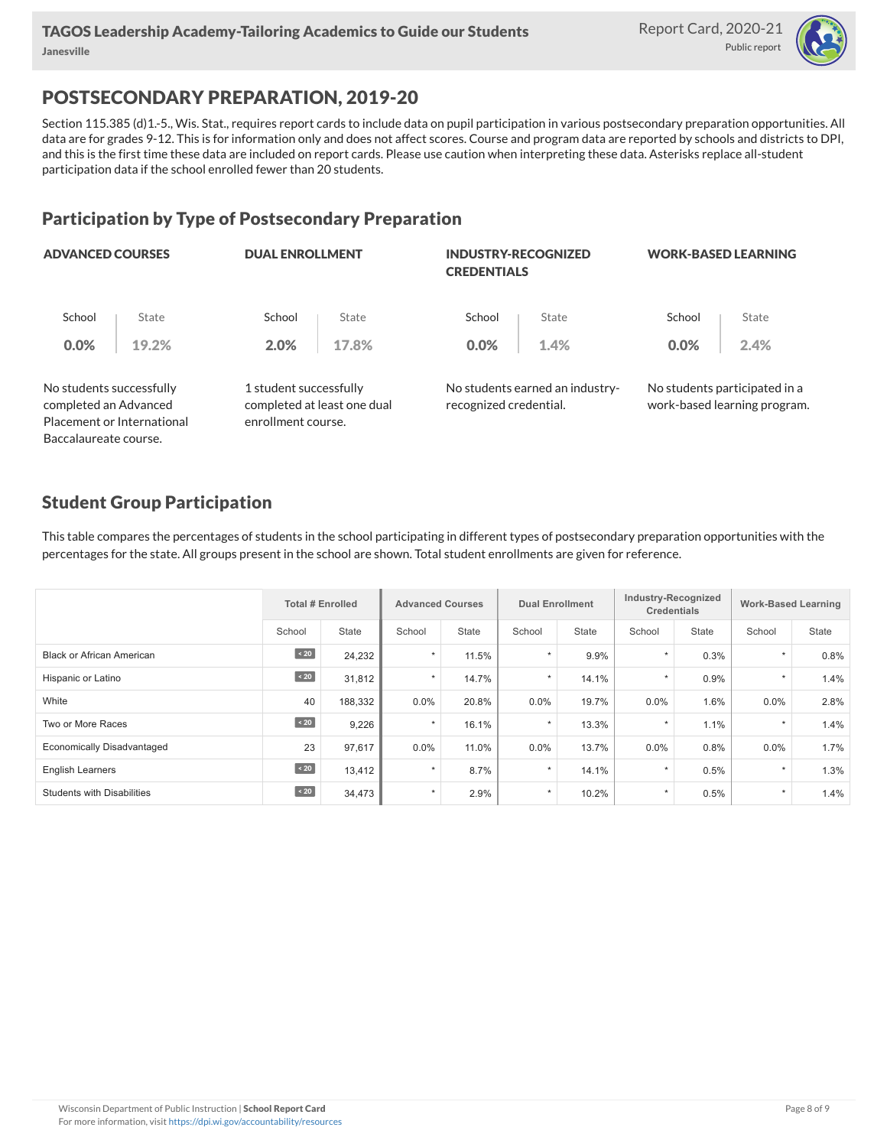

# POSTSECONDARY PREPARATION, 2019-20

Section 115.385 (d)1.-5., Wis. Stat., requires report cards to include data on pupil participation in various postsecondary preparation opportunities. All data are for grades 9-12. This is for information only and does not affect scores. Course and program data are reported by schools and districts to DPI, and this is the first time these data are included on report cards. Please use caution when interpreting these data. Asterisks replace all-student participation data if the school enrolled fewer than 20 students.

# Participation by Type of Postsecondary Preparation

| <b>ADVANCED COURSES</b>                                                         |                       | <b>DUAL ENROLLMENT</b> | <b>INDUSTRY-RECOGNIZED</b>                                                  |       | <b>WORK-BASED LEARNING</b>                                                      |                                                               |  |
|---------------------------------------------------------------------------------|-----------------------|------------------------|-----------------------------------------------------------------------------|-------|---------------------------------------------------------------------------------|---------------------------------------------------------------|--|
| State                                                                           | School                | State                  | School                                                                      | State | School                                                                          | State                                                         |  |
| 19.2%                                                                           | 2.0%                  | 17.8%                  | 0.0%                                                                        | 1.4%  | 0.0%                                                                            | 2.4%                                                          |  |
| No students successfully<br>completed an Advanced<br>Placement or International |                       |                        |                                                                             |       |                                                                                 | No students participated in a<br>work-based learning program. |  |
|                                                                                 | Baccalaureate course. |                        | 1 student successfully<br>completed at least one dual<br>enrollment course. |       | <b>CREDENTIALS</b><br>No students earned an industry-<br>recognized credential. |                                                               |  |

### Student Group Participation

This table compares the percentages of students in the school participating in different types of postsecondary preparation opportunities with the percentages for the state. All groups present in the school are shown. Total student enrollments are given for reference.

|                                   | <b>Total # Enrolled</b> |         | <b>Advanced Courses</b> |              | <b>Dual Enrollment</b> |              | Industry-Recognized<br><b>Credentials</b> |       | <b>Work-Based Learning</b> |       |
|-----------------------------------|-------------------------|---------|-------------------------|--------------|------------------------|--------------|-------------------------------------------|-------|----------------------------|-------|
|                                   | School                  | State   | School                  | <b>State</b> | School                 | <b>State</b> | School                                    | State | School                     | State |
| Black or African American         | $\angle 20$             | 24,232  | $\star$                 | 11.5%        | $\star$                | 9.9%         | $\star$                                   | 0.3%  | $\star$                    | 0.8%  |
| Hispanic or Latino                | $\sim 20$               | 31,812  | $\star$                 | 14.7%        | $\star$                | 14.1%        | $\star$                                   | 0.9%  | $\star$                    | 1.4%  |
| White                             | 40                      | 188,332 | $0.0\%$                 | 20.8%        | $0.0\%$                | 19.7%        | $0.0\%$                                   | 1.6%  | $0.0\%$                    | 2.8%  |
| Two or More Races                 | $\angle 20$             | 9,226   | $\star$                 | 16.1%        | $\star$                | 13.3%        |                                           | 1.1%  | $\star$                    | 1.4%  |
| <b>Economically Disadvantaged</b> | 23                      | 97,617  | $0.0\%$                 | 11.0%        | 0.0%                   | 13.7%        | 0.0%                                      | 0.8%  | $0.0\%$                    | 1.7%  |
| <b>English Learners</b>           | $\angle 20$             | 13,412  | $\star$                 | 8.7%         | $\star$                | 14.1%        | $\star$                                   | 0.5%  | $\star$                    | 1.3%  |
| <b>Students with Disabilities</b> | $\sim 20$               | 34,473  | $\star$                 | 2.9%         | $\star$                | 10.2%        | $\star$                                   | 0.5%  | $\star$                    | 1.4%  |